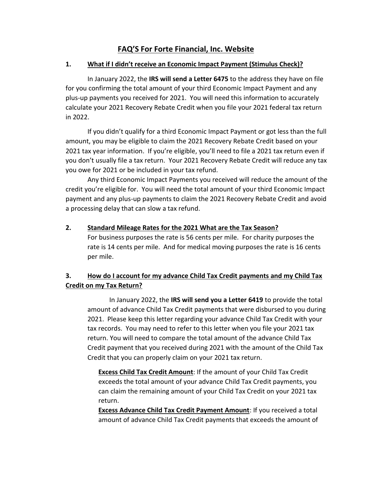# **FAQ'S For Forte Financial, Inc. Website**

#### **1. What if I didn't receive an Economic Impact Payment (Stimulus Check)?**

In January 2022, the **IRS will send a Letter 6475** to the address they have on file for you confirming the total amount of your third Economic Impact Payment and any plus-up payments you received for 2021. You will need this information to accurately calculate your 2021 Recovery Rebate Credit when you file your 2021 federal tax return in 2022.

If you didn't qualify for a third Economic Impact Payment or got less than the full amount, you may be eligible to claim the 2021 Recovery Rebate Credit based on your 2021 tax year information. If you're eligible, you'll need to file a 2021 tax return even if you don't usually file a tax return. Your 2021 Recovery Rebate Credit will reduce any tax you owe for 2021 or be included in your tax refund.

Any third Economic Impact Payments you received will reduce the amount of the credit you're eligible for. You will need the total amount of your third Economic Impact payment and any plus-up payments to claim the 2021 Recovery Rebate Credit and avoid a processing delay that can slow a tax refund.

#### **2. Standard Mileage Rates for the 2021 What are the Tax Season?**

For business purposes the rate is 56 cents per mile. For charity purposes the rate is 14 cents per mile. And for medical moving purposes the rate is 16 cents per mile.

# **3. How do I account for my advance Child Tax Credit payments and my Child Tax Credit on my Tax Return?**

In January 2022, the **IRS will send you a Letter 6419** to provide the total amount of advance Child Tax Credit payments that were disbursed to you during 2021. Please keep this letter regarding your advance Child Tax Credit with your tax records. You may need to refer to this letter when you file your 2021 tax return. You will need to compare the total amount of the advance Child Tax Credit payment that you received during 2021 with the amount of the Child Tax Credit that you can properly claim on your 2021 tax return.

**Excess Child Tax Credit Amount**: If the amount of your Child Tax Credit exceeds the total amount of your advance Child Tax Credit payments, you can claim the remaining amount of your Child Tax Credit on your 2021 tax return.

**Excess Advance Child Tax Credit Payment Amount**: If you received a total amount of advance Child Tax Credit payments that exceeds the amount of